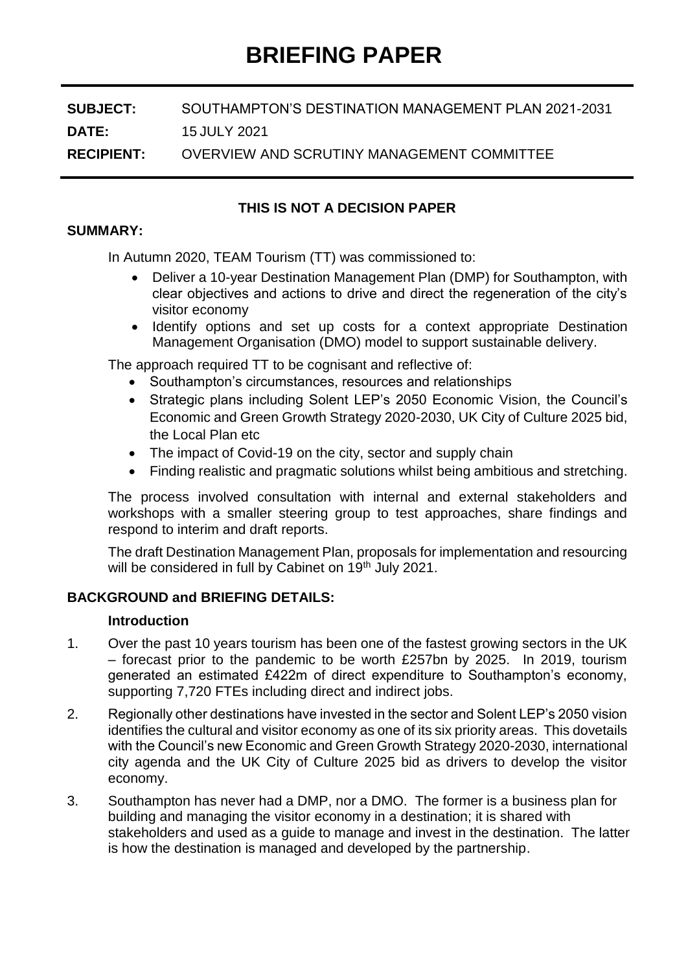# **BRIEFING PAPER**

| <b>SUBJECT:</b>   | SOUTHAMPTON'S DESTINATION MANAGEMENT PLAN 2021-2031 |
|-------------------|-----------------------------------------------------|
| DATE:             | 15 JULY 2021                                        |
| <b>RECIPIENT:</b> | OVERVIEW AND SCRUTINY MANAGEMENT COMMITTEE          |

## **THIS IS NOT A DECISION PAPER**

#### **SUMMARY:**

In Autumn 2020, TEAM Tourism (TT) was commissioned to:

- Deliver a 10-year Destination Management Plan (DMP) for Southampton, with clear objectives and actions to drive and direct the regeneration of the city's visitor economy
- Identify options and set up costs for a context appropriate Destination Management Organisation (DMO) model to support sustainable delivery.

The approach required TT to be cognisant and reflective of:

- Southampton's circumstances, resources and relationships
- Strategic plans including Solent LEP's 2050 Economic Vision, the Council's Economic and Green Growth Strategy 2020-2030, UK City of Culture 2025 bid, the Local Plan etc
- The impact of Covid-19 on the city, sector and supply chain
- Finding realistic and pragmatic solutions whilst being ambitious and stretching.

The process involved consultation with internal and external stakeholders and workshops with a smaller steering group to test approaches, share findings and respond to interim and draft reports.

The draft Destination Management Plan, proposals for implementation and resourcing will be considered in full by Cabinet on 19<sup>th</sup> July 2021.

### **BACKGROUND and BRIEFING DETAILS:**

#### **Introduction**

- 1. Over the past 10 years tourism has been one of the fastest growing sectors in the UK – forecast prior to the pandemic to be worth £257bn by 2025. In 2019, tourism generated an estimated £422m of direct expenditure to Southampton's economy, supporting 7,720 FTEs including direct and indirect jobs.
- 2. Regionally other destinations have invested in the sector and Solent LEP's 2050 vision identifies the cultural and visitor economy as one of its six priority areas. This dovetails with the Council's new Economic and Green Growth Strategy 2020-2030, international city agenda and the UK City of Culture 2025 bid as drivers to develop the visitor economy.
- 3. Southampton has never had a DMP, nor a DMO. The former is a business plan for building and managing the visitor economy in a destination; it is shared with stakeholders and used as a guide to manage and invest in the destination. The latter is how the destination is managed and developed by the partnership.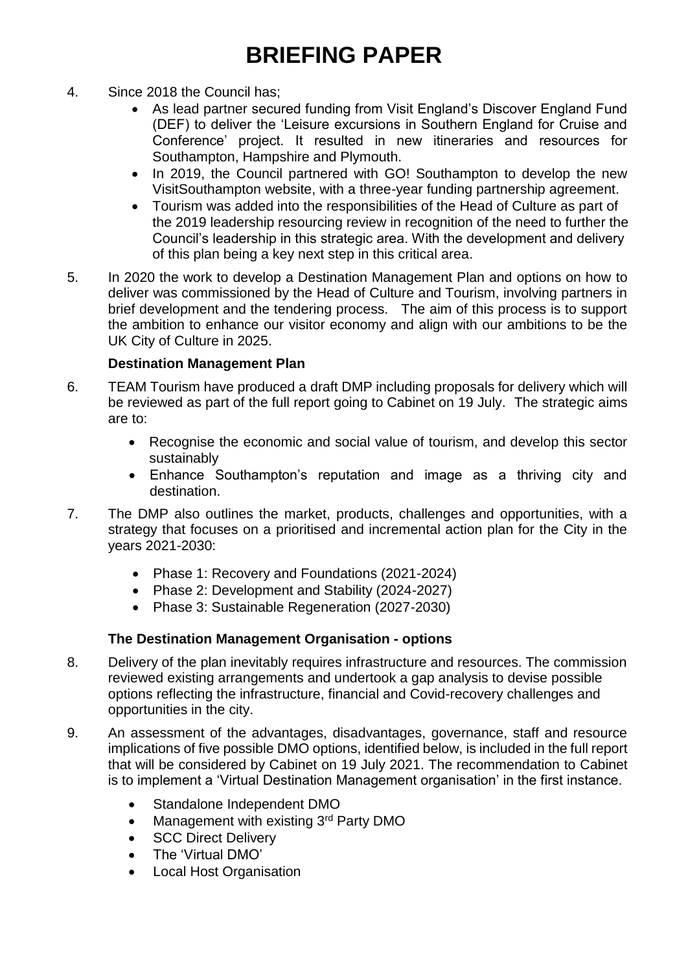# **BRIEFING PAPER**

- 4. Since 2018 the Council has;
	- As lead partner secured funding from Visit England's Discover England Fund (DEF) to deliver the 'Leisure excursions in Southern England for Cruise and Conference' project. It resulted in new itineraries and resources for Southampton, Hampshire and Plymouth.
	- In 2019, the Council partnered with GO! Southampton to develop the new VisitSouthampton website, with a three-year funding partnership agreement.
	- Tourism was added into the responsibilities of the Head of Culture as part of the 2019 leadership resourcing review in recognition of the need to further the Council's leadership in this strategic area. With the development and delivery of this plan being a key next step in this critical area.
- 5. In 2020 the work to develop a Destination Management Plan and options on how to deliver was commissioned by the Head of Culture and Tourism, involving partners in brief development and the tendering process. The aim of this process is to support the ambition to enhance our visitor economy and align with our ambitions to be the UK City of Culture in 2025.

### **Destination Management Plan**

- 6. TEAM Tourism have produced a draft DMP including proposals for delivery which will be reviewed as part of the full report going to Cabinet on 19 July. The strategic aims are to:
	- Recognise the economic and social value of tourism, and develop this sector sustainably
	- Enhance Southampton's reputation and image as a thriving city and destination.
- 7. The DMP also outlines the market, products, challenges and opportunities, with a strategy that focuses on a prioritised and incremental action plan for the City in the years 2021-2030:
	- Phase 1: Recovery and Foundations (2021-2024)
	- Phase 2: Development and Stability (2024-2027)
	- Phase 3: Sustainable Regeneration (2027-2030)

## **The Destination Management Organisation - options**

- 8. Delivery of the plan inevitably requires infrastructure and resources. The commission reviewed existing arrangements and undertook a gap analysis to devise possible options reflecting the infrastructure, financial and Covid-recovery challenges and opportunities in the city.
- 9. An assessment of the advantages, disadvantages, governance, staff and resource implications of five possible DMO options, identified below, is included in the full report that will be considered by Cabinet on 19 July 2021. The recommendation to Cabinet is to implement a 'Virtual Destination Management organisation' in the first instance.
	- Standalone Independent DMO
	- Management with existing  $3<sup>rd</sup>$  Party DMO
	- SCC Direct Delivery
	- The 'Virtual DMO'
	- Local Host Organisation